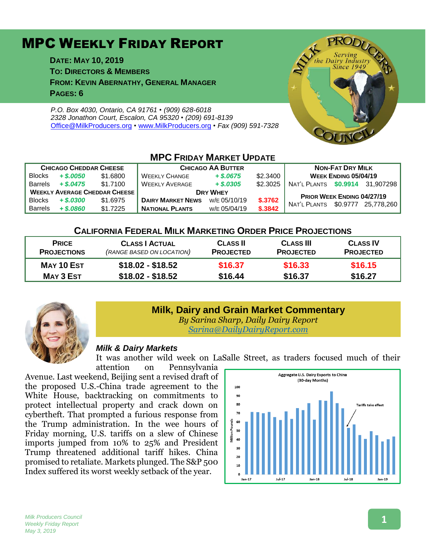# MPC WEEKLY FRIDAY REPORT

**DATE: MAY 10, 2019 TO: DIRECTORS & MEMBERS FROM: KEVIN ABERNATHY, GENERAL MANAGER PAGES: 6**

*P.O. Box 4030, Ontario, CA 91761 • (909) 628-6018 2328 Jonathon Court, Escalon, CA 95320 • (209) 691-8139* [Office@MilkProducers.org](mailto:office@milkproducers.org) *•* [www.MilkProducers.org](http://www.milkproducers.org/) *• Fax (909) 591-7328*



#### **MPC FRIDAY MARKET UPDATE CHICAGO CHEDDAR CHEESE CHICAGO AA BUTTER NON-FAT DRY MILK** Blocks *+ \$.0050* \$1.6800 WEEKLY CHANGE *+ \$.0675* \$2.3400 **WEEK ENDING 05/04/19** Barrels *+ \$.0475* \$1.7100 WEEKLY AVERAGE *+ \$.0305* \$2.3025 NAT'L PLANTS **\$0.9914** 31,907298 WEEKLY AVERAGE CHEDDAR CHEESE **DRY WHEY BRY WHEY PRIOR WEEK ENDING 04/27/19**<br>Blocks + \$,0300 \$1.6975 **DAIRY MARKET NEWS** W/E 05/10/19 \$,3762 ... PRIOR WEEK ENDING 04/27/19  $W = 0.001$ <br>Barrels + \$.0860 \$1.7225 **NATIONAL PLANTS** W/E 05/04/19 **\$.3842** NAT'L PLANTS \$0.9777 25,778,260 **NATIONAL PLANTS**

#### **CALIFORNIA FEDERAL MILK MARKETING ORDER PRICE PROJECTIONS**

| <b>PRICE</b><br><b>PROJECTIONS</b> | <b>CLASS   ACTUAL</b><br>(RANGE BASED ON LOCATION) | <b>CLASS II</b><br><b>PROJECTED</b> | <b>CLASS III</b><br><b>PROJECTED</b> | <b>CLASS IV</b><br><b>PROJECTED</b> |
|------------------------------------|----------------------------------------------------|-------------------------------------|--------------------------------------|-------------------------------------|
| MAY 10 EST                         | \$18.02 - \$18.52                                  | \$16.37                             | \$16.33                              | \$16.15                             |
| <b>MAY 3 EST</b>                   | $$18.02 - $18.52$                                  | \$16.44                             | \$16.37                              | \$16.27                             |



# **Milk, Dairy and Grain Market Commentary**

*By Sarina Sharp, Daily Dairy Report [Sarina@DailyDairyReport.com](mailto:Sarina@DailyDairyReport.com)*

#### *Milk & Dairy Markets*

It was another wild week on LaSalle Street, as traders focused much of their

attention on Pennsylvania Avenue. Last weekend, Beijing sent a revised draft of the proposed U.S.-China trade agreement to the White House, backtracking on commitments to protect intellectual property and crack down on cybertheft. That prompted a furious response from the Trump administration. In the wee hours of Friday morning, U.S. tariffs on a slew of Chinese imports jumped from 10% to 25% and President Trump threatened additional tariff hikes. China promised to retaliate. Markets plunged. The S&P 500 Index suffered its worst weekly setback of the year.



#### **1**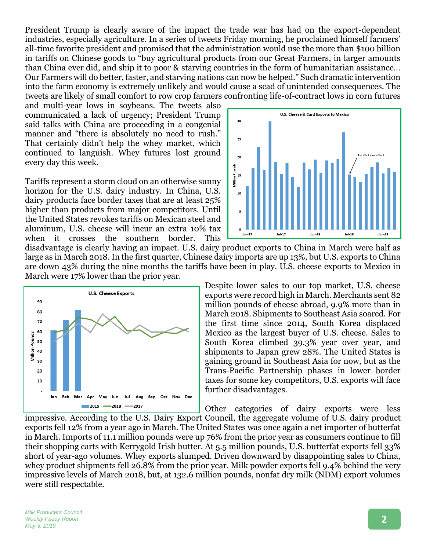President Trump is clearly aware of the impact the trade war has had on the export-dependent industries, especially agriculture. In a series of tweets Friday morning, he proclaimed himself farmers' all-time favorite president and promised that the administration would use the more than \$100 billion in tariffs on Chinese goods to "buy agricultural products from our Great Farmers, in larger amounts than China ever did, and ship it to poor & starving countries in the form of humanitarian assistance… Our Farmers will do better, faster, and starving nations can now be helped." Such dramatic intervention into the farm economy is extremely unlikely and would cause a scad of unintended consequences. The tweets are likely of small comfort to row crop farmers confronting life-of-contract lows in corn futures

and multi-year lows in soybeans. The tweets also communicated a lack of urgency; President Trump said talks with China are proceeding in a congenial manner and "there is absolutely no need to rush." That certainly didn't help the whey market, which continued to languish. Whey futures lost ground every day this week.

Tariffs represent a storm cloud on an otherwise sunny horizon for the U.S. dairy industry. In China, U.S. dairy products face border taxes that are at least 25% higher than products from major competitors. Until the United States revokes tariffs on Mexican steel and aluminum, U.S. cheese will incur an extra 10% tax when it crosses the southern border. This



disadvantage is clearly having an impact. U.S. dairy product exports to China in March were half as large as in March 2018. In the first quarter, Chinese dairy imports are up 13%, but U.S. exports to China are down 43% during the nine months the tariffs have been in play. U.S. cheese exports to Mexico in March were 17% lower than the prior year.



Despite lower sales to our top market, U.S. cheese exports were record high in March. Merchants sent 82 million pounds of cheese abroad, 9.9% more than in March 2018. Shipments to Southeast Asia soared. For the first time since 2014, South Korea displaced Mexico as the largest buyer of U.S. cheese. Sales to South Korea climbed 39.3% year over year, and shipments to Japan grew 28%. The United States is gaining ground in Southeast Asia for now, but as the Trans-Pacific Partnership phases in lower border taxes for some key competitors, U.S. exports will face further disadvantages.

Other categories of dairy exports were less impressive. According to the U.S. Dairy Export Council, the aggregate volume of U.S. dairy product exports fell 12% from a year ago in March. The United States was once again a net importer of butterfat in March. Imports of 11.1 million pounds were up 76% from the prior year as consumers continue to fill their shopping carts with Kerrygold Irish butter. At 5.5 million pounds, U.S. butterfat exports fell 33% short of year-ago volumes. Whey exports slumped. Driven downward by disappointing sales to China, whey product shipments fell 26.8% from the prior year. Milk powder exports fell 9.4% behind the very impressive levels of March 2018, but, at 132.6 million pounds, nonfat dry milk (NDM) export volumes were still respectable.

*Milk Producers Council Weekly Friday Report May 3, 2019*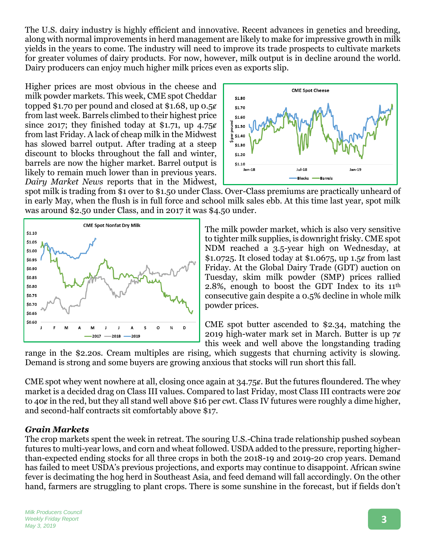The U.S. dairy industry is highly efficient and innovative. Recent advances in genetics and breeding, along with normal improvements in herd management are likely to make for impressive growth in milk yields in the years to come. The industry will need to improve its trade prospects to cultivate markets for greater volumes of dairy products. For now, however, milk output is in decline around the world. Dairy producers can enjoy much higher milk prices even as exports slip.

Higher prices are most obvious in the cheese and milk powder markets. This week, CME spot Cheddar topped \$1.70 per pound and closed at \$1.68, up 0.5¢ from last week. Barrels climbed to their highest price since 2017; they finished today at \$1.71, up  $4.75\%$ from last Friday. A lack of cheap milk in the Midwest has slowed barrel output. After trading at a steep discount to blocks throughout the fall and winter, barrels are now the higher market. Barrel output is likely to remain much lower than in previous years. *Dairy Market News* reports that in the Midwest,



spot milk is trading from \$1 over to \$1.50 under Class. Over-Class premiums are practically unheard of in early May, when the flush is in full force and school milk sales ebb. At this time last year, spot milk was around \$2.50 under Class, and in 2017 it was \$4.50 under.



The milk powder market, which is also very sensitive to tighter milk supplies, is downright frisky. CME spot NDM reached a 3.5-year high on Wednesday, at \$1.0725. It closed today at \$1.0675, up  $1.5¢$  from last Friday. At the Global Dairy Trade (GDT) auction on Tuesday, skim milk powder (SMP) prices rallied 2.8%, enough to boost the GDT Index to its 11th consecutive gain despite a 0.5% decline in whole milk powder prices.

CME spot butter ascended to \$2.34, matching the 2019 high-water mark set in March. Butter is up  $7¢$ this week and well above the longstanding trading

range in the \$2.20s. Cream multiples are rising, which suggests that churning activity is slowing. Demand is strong and some buyers are growing anxious that stocks will run short this fall.

CME spot whey went nowhere at all, closing once again at 34.75 $\epsilon$ . But the futures floundered. The whey market is a decided drag on Class III values. Compared to last Friday, most Class III contracts were  $20\ell$ to 40 $\varrho$  in the red, but they all stand well above \$16 per cwt. Class IV futures were roughly a dime higher, and second-half contracts sit comfortably above \$17.

#### *Grain Markets*

The crop markets spent the week in retreat. The souring U.S.-China trade relationship pushed soybean futures to multi-year lows, and corn and wheat followed. USDA added to the pressure, reporting higherthan-expected ending stocks for all three crops in both the 2018-19 and 2019-20 crop years. Demand has failed to meet USDA's previous projections, and exports may continue to disappoint. African swine fever is decimating the hog herd in Southeast Asia, and feed demand will fall accordingly. On the other hand, farmers are struggling to plant crops. There is some sunshine in the forecast, but if fields don't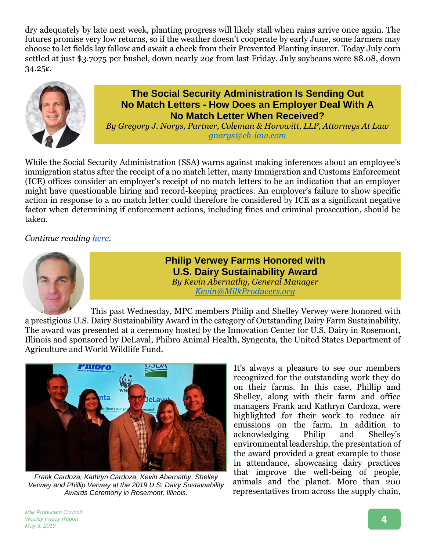dry adequately by late next week, planting progress will likely stall when rains arrive once again. The futures promise very low returns, so if the weather doesn't cooperate by early June, some farmers may choose to let fields lay fallow and await a check from their Prevented Planting insurer. Today July corn settled at just \$3.7075 per bushel, down nearly 20¢ from last Friday. July soybeans were \$8.08, down 34.25ȼ.



### **The Social Security Administration Is Sending Out No Match Letters - How Does an Employer Deal With A No Match Letter When Received?**

*By Gregory J. Norys, Partner, Coleman & Horowitt, LLP, Attorneys At Law gnorys@ch-law.com*

While the Social Security Administration (SSA) warns against making inferences about an employee's immigration status after the receipt of a no match letter, many Immigration and Customs Enforcement (ICE) offices consider an employer's receipt of no match letters to be an indication that an employer might have questionable hiring and record-keeping practices. An employer's failure to show specific action in response to a no match letter could therefore be considered by ICE as a significant negative factor when determining if enforcement actions, including fines and criminal prosecution, should be taken.

*Continue reading [here.](http://www.milkproducerscouncil.org/wp-content/uploads/Article-No-Match-Letter-HR-Edits.pdf)*



**Philip Verwey Farms Honored with U.S. Dairy Sustainability Award** *By Kevin Abernathy, General Manager Kevin@MilkProducers.org*

This past Wednesday, MPC members Philip and Shelley Verwey were honored with a prestigious U.S. Dairy Sustainability Award in the category of Outstanding Dairy Farm Sustainability. The award was presented at a ceremony hosted by the Innovation Center for U.S. Dairy in Rosemont, Illinois and sponsored by DeLaval, Phibro Animal Health, Syngenta, the United States Department of Agriculture and World Wildlife Fund.



*Frank Cardoza, Kathryn Cardoza, Kevin Abernathy, Shelley Verwey and Phillip Verwey at the 2019 U.S. Dairy Sustainability Awards Ceremony in Rosemont, Illinois.*

It's always a pleasure to see our members recognized for the outstanding work they do on their farms. In this case, Phillip and Shelley, along with their farm and office managers Frank and Kathryn Cardoza, were highlighted for their work to reduce air emissions on the farm. In addition to acknowledging Philip and Shelley's environmental leadership, the presentation of the award provided a great example to those in attendance, showcasing dairy practices that improve the well-being of people, animals and the planet. More than 200 representatives from across the supply chain,

*Milk Producers Council Weekly Friday Report May 3, 2019*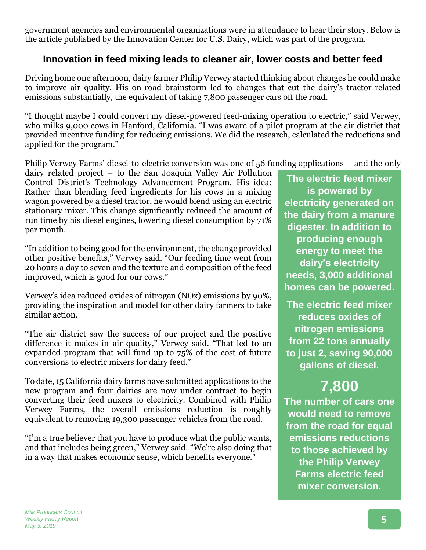government agencies and environmental organizations were in attendance to hear their story. Below is the article published by the Innovation Center for U.S. Dairy, which was part of the program.

## **Innovation in feed mixing leads to cleaner air, lower costs and better feed**

Driving home one afternoon, dairy farmer Philip Verwey started thinking about changes he could make to improve air quality. His on-road brainstorm led to changes that cut the dairy's tractor-related emissions substantially, the equivalent of taking 7,800 passenger cars off the road.

"I thought maybe I could convert my diesel-powered feed-mixing operation to electric," said Verwey, who milks 9,000 cows in Hanford, California. "I was aware of a pilot program at the air district that provided incentive funding for reducing emissions. We did the research, calculated the reductions and applied for the program."

Philip Verwey Farms' diesel-to-electric conversion was one of 56 funding applications – and the only

dairy related project – to the San Joaquin Valley Air Pollution Control District's Technology Advancement Program. His idea: Rather than blending feed ingredients for his cows in a mixing wagon powered by a diesel tractor, he would blend using an electric stationary mixer. This change significantly reduced the amount of run time by his diesel engines, lowering diesel consumption by 71% per month.

"In addition to being good for the environment, the change provided other positive benefits," Verwey said. "Our feeding time went from 20 hours a day to seven and the texture and composition of the feed improved, which is good for our cows."

Verwey's idea reduced oxides of nitrogen (NOx) emissions by 90%, providing the inspiration and model for other dairy farmers to take similar action.

"The air district saw the success of our project and the positive difference it makes in air quality," Verwey said. "That led to an expanded program that will fund up to 75% of the cost of future conversions to electric mixers for dairy feed."

To date, 15 California dairy farms have submitted applications to the new program and four dairies are now under contract to begin converting their feed mixers to electricity. Combined with Philip Verwey Farms, the overall emissions reduction is roughly equivalent to removing 19,300 passenger vehicles from the road.

"I'm a true believer that you have to produce what the public wants, and that includes being green," Verwey said. "We're also doing that in a way that makes economic sense, which benefits everyone."

**The electric feed mixer is powered by electricity generated on the dairy from a manure digester. In addition to producing enough energy to meet the dairy's electricity needs, 3,000 additional homes can be powered.**

**The electric feed mixer reduces oxides of nitrogen emissions from 22 tons annually to just 2, saving 90,000 gallons of diesel.**

# **7,800**

**The number of cars one would need to remove from the road for equal emissions reductions to those achieved by the Philip Verwey Farms electric feed mixer conversion.**

*Milk Producers Council Weekly Friday Report May 3, 2019*